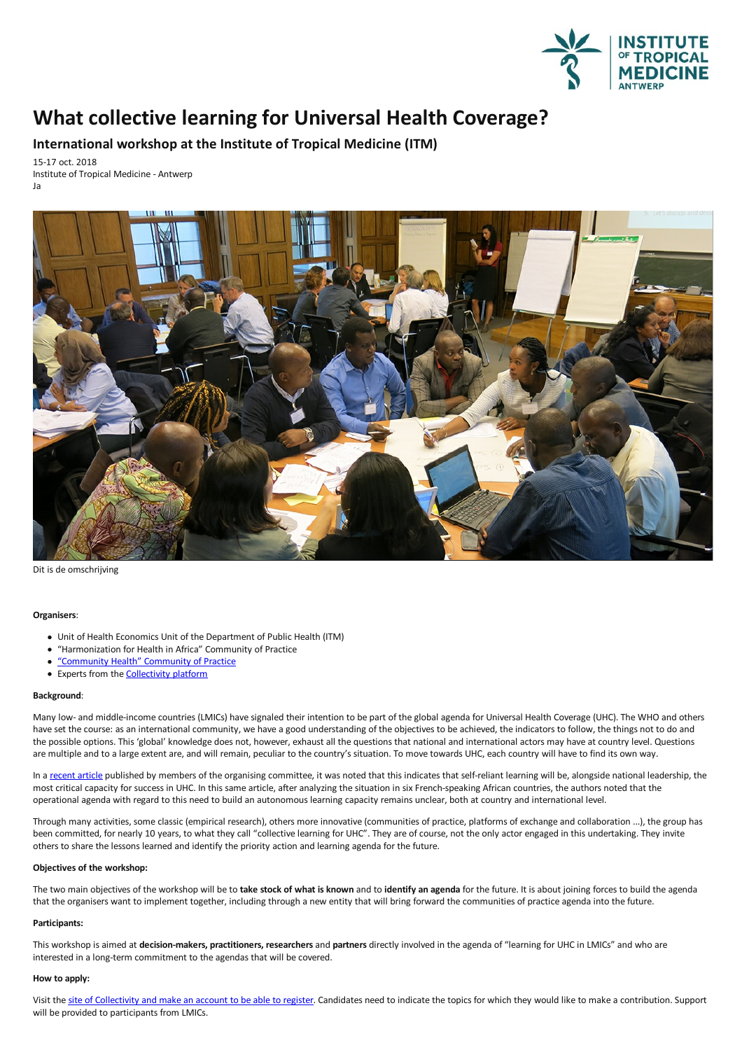

# **What collective learning for Universal Health Coverage?**

**International workshop at the Institute of Tropical Medicine (ITM)**

15-17 oct. 2018 Institute of Tropical Medicine - Antwerp Ja



Dit is de omschrijving

# **Organisers**:

- Unit of Health Economics Unit of the Department of Public Health (ITM)
- "Harmonization for Health in Africa" Community of Practice
- ["Community](https://www.thecollectivity.org/en/communities/20) Health" Community of Practice
- Experts from the **[Collectivity](https://www.thecollectivity.org/) platform**

# **Background**:

Many low- and middle-income countries (LMICs) have signaled their intention to be part of the global agenda for Universal Health Coverage (UHC). The WHO and others have set the course: as an international community, we have a good understanding of the objectives to be achieved, the indicators to follow, the things not to do and the possible options.This 'global'knowledge does not, however, exhaustall the questions that national and international actors may have at country level. Questions are multiple and to a large extent are, and will remain, peculiar to the country's situation. To move towards UHC, each country will have to find its own way.

In a recent article published by members of the organising committee, it was noted that this indicates that self-reliant learning will be, alongside national leadership, the most critical capacity for success in UHC. In this same article, after analyzing the situation in six French-speaking African countries, the authors noted that the operational agenda with regard to this need to build an autonomous learning capacity remains unclear, both at country and international level.

Through many activities, some classic (empirical research), others more innovative (communities of practice, platforms of exchange and collaboration ...), the group has been committed, for nearly 10 years, to what they call "collective learning for UHC". They are of course, not the only actor engaged in this undertaking. They invite others to share the lessons learned and identify the priority action and learning agenda for the future.

# **Objectives of the workshop:**

The two main objectives of the workshop will be to **take stock of what isknown** and to **identify an agenda** for the future. It isabout joining forces to build the agenda that the organisers want to implement together, including through a new entity that will bring forward the communities of practice agendainto the future.

#### **Participants:**

This workshop is aimed at decision-makers, practitioners, researchers and partners directly involved in the agenda of "learning for UHC in LMICs" and who are interested in along-term commitment to the agendas that will be covered.

# **How to apply:**

Visit the site of [Collectivity](http:) and make an account to be able to register. Candidates need to indicate the topics for which they would like to make a contribution. Support will be provided to participants from LMICs.